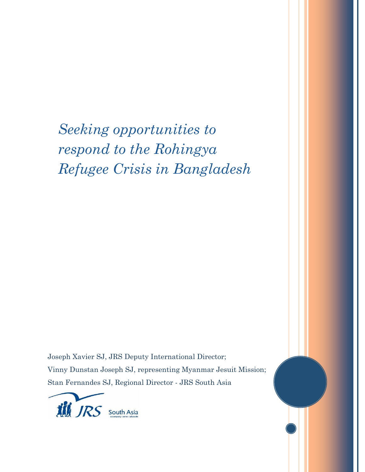*Seeking opportunities to respond to the Rohingya Refugee Crisis in Bangladesh*

Joseph Xavier SJ, JRS Deputy International Director; Vinny Dunstan Joseph SJ, representing Myanmar Jesuit Mission; Stan Fernandes SJ, Regional Director - JRS South Asia

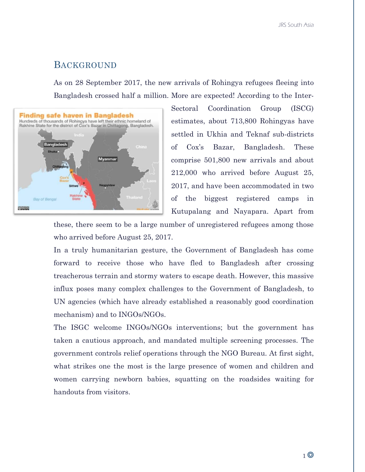### BACKGROUND

As on 28 September 2017, the new arrivals of Rohingya refugees fleeing into Bangladesh crossed half a million. More are expected! According to the Inter-



Sectoral Coordination Group (ISCG) estimates, about 713,800 Rohingyas have settled in Ukhia and Teknaf sub-districts of Cox's Bazar, Bangladesh. These comprise 501,800 new arrivals and about 212,000 who arrived before August 25, 2017, and have been accommodated in two of the biggest registered camps in Kutupalang and Nayapara. Apart from

these, there seem to be a large number of unregistered refugees among those who arrived before August 25, 2017.

In a truly humanitarian gesture, the Government of Bangladesh has come forward to receive those who have fled to Bangladesh after crossing treacherous terrain and stormy waters to escape death. However, this massive influx poses many complex challenges to the Government of Bangladesh, to UN agencies (which have already established a reasonably good coordination mechanism) and to INGOs/NGOs.

The ISGC welcome INGOs/NGOs interventions; but the government has taken a cautious approach, and mandated multiple screening processes. The government controls relief operations through the NGO Bureau. At first sight, what strikes one the most is the large presence of women and children and women carrying newborn babies, squatting on the roadsides waiting for handouts from visitors.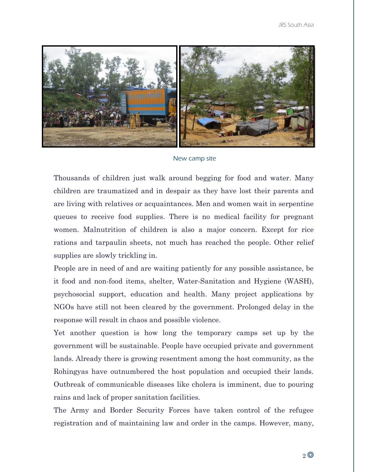

New camp site

Thousands of children just walk around begging for food and water. Many children are traumatized and in despair as they have lost their parents and are living with relatives or acquaintances. Men and women wait in serpentine queues to receive food supplies. There is no medical facility for pregnant women. Malnutrition of children is also a major concern. Except for rice rations and tarpaulin sheets, not much has reached the people. Other relief supplies are slowly trickling in.

People are in need of and are waiting patiently for any possible assistance, be it food and non-food items, shelter, Water-Sanitation and Hygiene (WASH), psychosocial support, education and health. Many project applications by NGOs have still not been cleared by the government. Prolonged delay in the response will result in chaos and possible violence.

Yet another question is how long the temporary camps set up by the government will be sustainable. People have occupied private and government lands. Already there is growing resentment among the host community, as the Rohingyas have outnumbered the host population and occupied their lands. Outbreak of communicable diseases like cholera is imminent, due to pouring rains and lack of proper sanitation facilities.

The Army and Border Security Forces have taken control of the refugee registration and of maintaining law and order in the camps. However, many,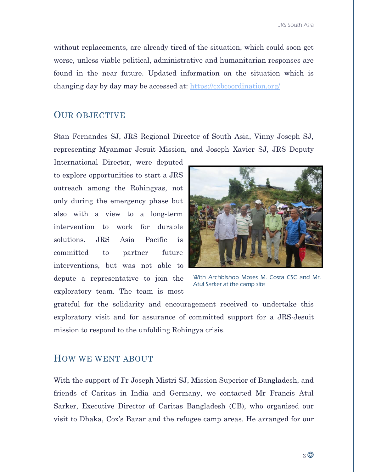without replacements, are already tired of the situation, which could soon get worse, unless viable political, administrative and humanitarian responses are found in the near future. Updated information on the situation which is changing day by day may be accessed at:<https://cxbcoordination.org/>

## OUR OBJECTIVE

Stan Fernandes SJ, JRS Regional Director of South Asia, Vinny Joseph SJ, representing Myanmar Jesuit Mission, and Joseph Xavier SJ, JRS Deputy

International Director, were deputed to explore opportunities to start a JRS outreach among the Rohingyas, not only during the emergency phase but also with a view to a long-term intervention to work for durable solutions. JRS Asia Pacific is committed to partner future interventions, but was not able to depute a representative to join the exploratory team. The team is most



With Archbishop Moses M. Costa CSC and Mr. Atul Sarker at the camp site

grateful for the solidarity and encouragement received to undertake this exploratory visit and for assurance of committed support for a JRS-Jesuit mission to respond to the unfolding Rohingya crisis.

## HOW WE WENT ABOUT

With the support of Fr Joseph Mistri SJ, Mission Superior of Bangladesh, and friends of Caritas in India and Germany, we contacted Mr Francis Atul Sarker, Executive Director of Caritas Bangladesh (CB), who organised our visit to Dhaka, Cox's Bazar and the refugee camp areas. He arranged for our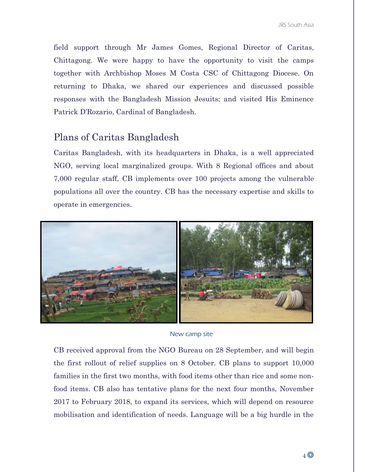field support through Mr James Gomes, Regional Director of Caritas, Chittagong. We were happy to have the opportunity to visit the camps together with Archbishop Moses M Costa CSC of Chittagong Diocese. On returning to Dhaka, we shared our experiences and discussed possible responses with the Bangladesh Mission Jesuits; and visited His Eminence Patrick D'Rozario, Cardinal of Bangladesh.

# Plans of Caritas Bangladesh

Caritas Bangladesh, with its headquarters in Dhaka, is a well appreciated NGO, serving local marginalized groups. With 8 Regional offices and about 7,000 regular staff, CB implements over 100 projects among the vulnerable populations all over the country. CB has the necessary expertise and skills to operate in emergencies.



#### New camp site

CB received approval from the NGO Bureau on 28 September, and will begin the first rollout of relief supplies on 8 October. CB plans to support 10,000 families in the first two months, with food items other than rice and some nonfood items. CB also has tentative plans for the next four months, November 2017 to February 2018, to expand its services, which will depend on resource mobilisation and identification of needs. Language will be a big hurdle in the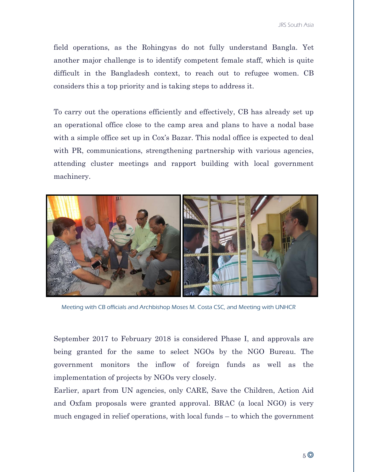field operations, as the Rohingyas do not fully understand Bangla. Yet another major challenge is to identify competent female staff, which is quite difficult in the Bangladesh context, to reach out to refugee women. CB considers this a top priority and is taking steps to address it.

To carry out the operations efficiently and effectively, CB has already set up an operational office close to the camp area and plans to have a nodal base with a simple office set up in Cox's Bazar. This nodal office is expected to deal with PR, communications, strengthening partnership with various agencies, attending cluster meetings and rapport building with local government machinery.



Meeting with CB officials and Archbishop Moses M. Costa CSC, and Meeting with UNHCR

September 2017 to February 2018 is considered Phase I, and approvals are being granted for the same to select NGOs by the NGO Bureau. The government monitors the inflow of foreign funds as well as the implementation of projects by NGOs very closely.

Earlier, apart from UN agencies, only CARE, Save the Children, Action Aid and Oxfam proposals were granted approval. BRAC (a local NGO) is very much engaged in relief operations, with local funds – to which the government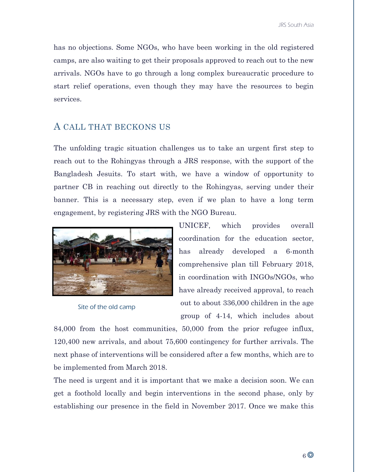has no objections. Some NGOs, who have been working in the old registered camps, are also waiting to get their proposals approved to reach out to the new arrivals. NGOs have to go through a long complex bureaucratic procedure to start relief operations, even though they may have the resources to begin services.

## A CALL THAT BECKONS US

The unfolding tragic situation challenges us to take an urgent first step to reach out to the Rohingyas through a JRS response, with the support of the Bangladesh Jesuits. To start with, we have a window of opportunity to partner CB in reaching out directly to the Rohingyas, serving under their banner. This is a necessary step, even if we plan to have a long term engagement, by registering JRS with the NGO Bureau.



Site of the old camp

UNICEF, which provides overall coordination for the education sector, has already developed a 6-month comprehensive plan till February 2018, in coordination with INGOs/NGOs, who have already received approval, to reach out to about 336,000 children in the age group of 4-14, which includes about

84,000 from the host communities, 50,000 from the prior refugee influx, 120,400 new arrivals, and about 75,600 contingency for further arrivals. The next phase of interventions will be considered after a few months, which are to be implemented from March 2018.

The need is urgent and it is important that we make a decision soon. We can get a foothold locally and begin interventions in the second phase, only by establishing our presence in the field in November 2017. Once we make this